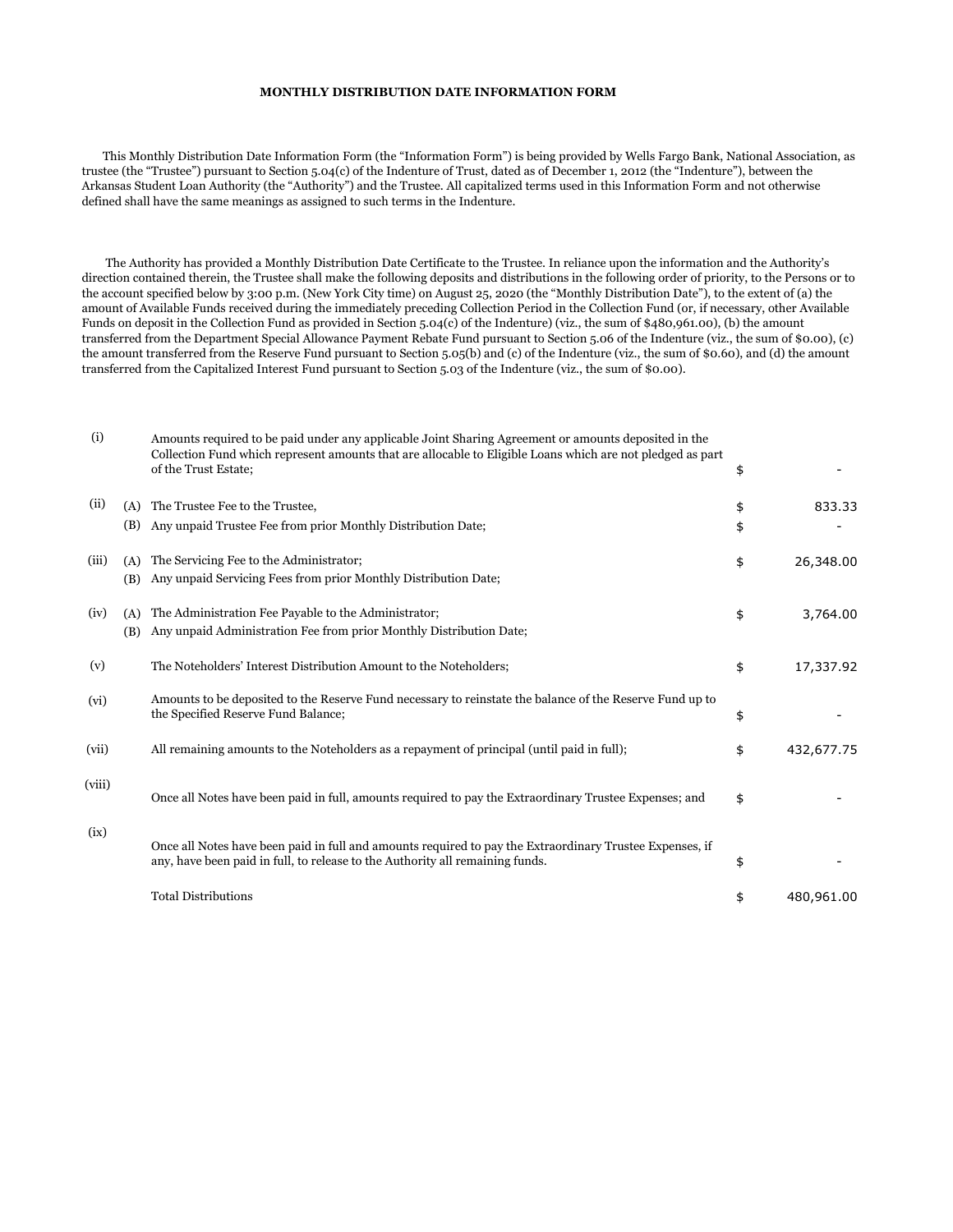## **MONTHLY DISTRIBUTION DATE INFORMATION FORM**

 This Monthly Distribution Date Information Form (the "Information Form") is being provided by Wells Fargo Bank, National Association, as trustee (the "Trustee") pursuant to Section 5.04(c) of the Indenture of Trust, dated as of December 1, 2012 (the "Indenture"), between the Arkansas Student Loan Authority (the "Authority") and the Trustee. All capitalized terms used in this Information Form and not otherwise defined shall have the same meanings as assigned to such terms in the Indenture.

 The Authority has provided a Monthly Distribution Date Certificate to the Trustee. In reliance upon the information and the Authority's direction contained therein, the Trustee shall make the following deposits and distributions in the following order of priority, to the Persons or to the account specified below by 3:00 p.m. (New York City time) on August 25, 2020 (the "Monthly Distribution Date"), to the extent of (a) the amount of Available Funds received during the immediately preceding Collection Period in the Collection Fund (or, if necessary, other Available Funds on deposit in the Collection Fund as provided in Section 5.04(c) of the Indenture) (viz., the sum of \$480,961.00), (b) the amount transferred from the Department Special Allowance Payment Rebate Fund pursuant to Section 5.06 of the Indenture (viz., the sum of \$0.00), (c) the amount transferred from the Reserve Fund pursuant to Section 5.05(b) and (c) of the Indenture (viz., the sum of \$0.60), and (d) the amount transferred from the Capitalized Interest Fund pursuant to Section 5.03 of the Indenture (viz., the sum of \$0.00).

| (i)    |            | Amounts required to be paid under any applicable Joint Sharing Agreement or amounts deposited in the<br>Collection Fund which represent amounts that are allocable to Eligible Loans which are not pledged as part<br>of the Trust Estate; | \$       |            |
|--------|------------|--------------------------------------------------------------------------------------------------------------------------------------------------------------------------------------------------------------------------------------------|----------|------------|
| (ii)   | (A)<br>(B) | The Trustee Fee to the Trustee.<br>Any unpaid Trustee Fee from prior Monthly Distribution Date;                                                                                                                                            | \$<br>\$ | 833.33     |
| (iii)  | (A)<br>(B) | The Servicing Fee to the Administrator;<br>Any unpaid Servicing Fees from prior Monthly Distribution Date;                                                                                                                                 | \$       | 26,348.00  |
| (iv)   | (A)<br>(B) | The Administration Fee Payable to the Administrator;<br>Any unpaid Administration Fee from prior Monthly Distribution Date;                                                                                                                | \$       | 3,764.00   |
| (v)    |            | The Noteholders' Interest Distribution Amount to the Noteholders;                                                                                                                                                                          | \$       | 17,337.92  |
| (vi)   |            | Amounts to be deposited to the Reserve Fund necessary to reinstate the balance of the Reserve Fund up to<br>the Specified Reserve Fund Balance;                                                                                            | \$       |            |
| (vii)  |            | All remaining amounts to the Noteholders as a repayment of principal (until paid in full);                                                                                                                                                 | \$       | 432,677.75 |
| (viii) |            | Once all Notes have been paid in full, amounts required to pay the Extraordinary Trustee Expenses; and                                                                                                                                     | \$       |            |
| (ix)   |            | Once all Notes have been paid in full and amounts required to pay the Extraordinary Trustee Expenses, if<br>any, have been paid in full, to release to the Authority all remaining funds.                                                  | \$       |            |
|        |            | <b>Total Distributions</b>                                                                                                                                                                                                                 | \$       | 480,961.00 |